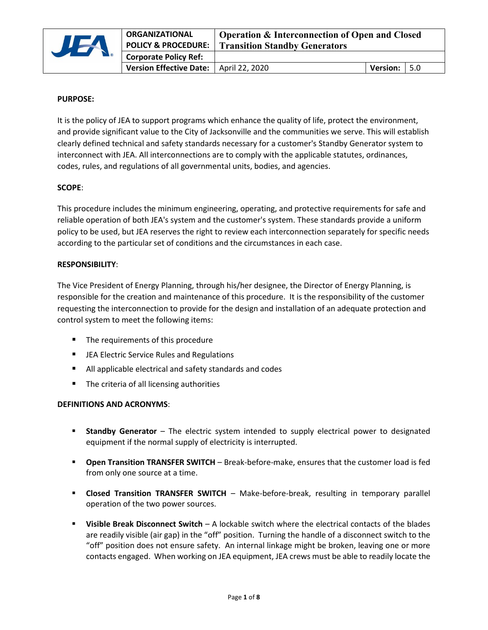

# **PURPOSE:**

It is the policy of JEA to support programs which enhance the quality of life, protect the environment, and provide significant value to the City of Jacksonville and the communities we serve. This will establish clearly defined technical and safety standards necessary for a customer's Standby Generator system to interconnect with JEA. All interconnections are to comply with the applicable statutes, ordinances, codes, rules, and regulations of all governmental units, bodies, and agencies.

## **SCOPE**:

This procedure includes the minimum engineering, operating, and protective requirements for safe and reliable operation of both JEA's system and the customer's system. These standards provide a uniform policy to be used, but JEA reserves the right to review each interconnection separately for specific needs according to the particular set of conditions and the circumstances in each case.

## **RESPONSIBILITY**:

The Vice President of Energy Planning, through his/her designee, the Director of Energy Planning, is responsible for the creation and maintenance of this procedure. It is the responsibility of the customer requesting the interconnection to provide for the design and installation of an adequate protection and control system to meet the following items:

- The requirements of this procedure
- **EXTER Electric Service Rules and Regulations**
- All applicable electrical and safety standards and codes
- **The criteria of all licensing authorities**

# **DEFINITIONS AND ACRONYMS**:

- **Standby Generator** The electric system intended to supply electrical power to designated equipment if the normal supply of electricity is interrupted.
- **Open Transition TRANSFER SWITCH** Break-before-make, ensures that the customer load is fed from only one source at a time.
- **Closed Transition TRANSFER SWITCH** Make-before-break, resulting in temporary parallel operation of the two power sources.
- **Visible Break Disconnect Switch** A lockable switch where the electrical contacts of the blades are readily visible (air gap) in the "off" position. Turning the handle of a disconnect switch to the "off" position does not ensure safety. An internal linkage might be broken, leaving one or more contacts engaged. When working on JEA equipment, JEA crews must be able to readily locate the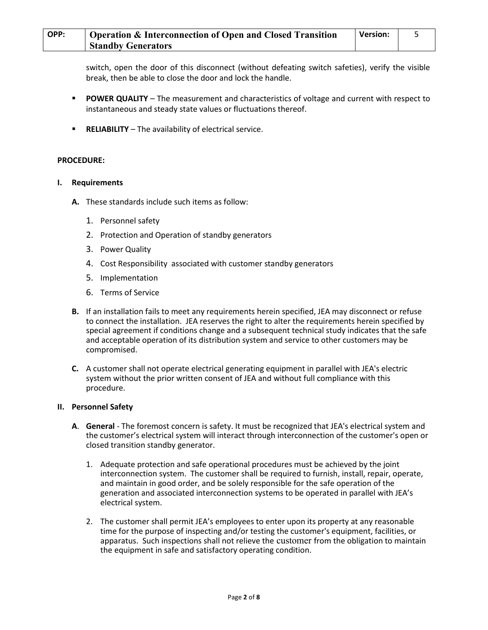switch, open the door of this disconnect (without defeating switch safeties), verify the visible break, then be able to close the door and lock the handle.

- **POWER QUALITY** The measurement and characteristics of voltage and current with respect to instantaneous and steady state values or fluctuations thereof.
- **RELIABILITY** The availability of electrical service.

## **PROCEDURE:**

## **I. Requirements**

- **A.** These standards include such items as follow:
	- 1. Personnel safety
	- 2. Protection and Operation of standby generators
	- 3. Power Quality
	- 4. Cost Responsibility associated with customer standby generators
	- 5. Implementation
	- 6. Terms of Service
- **B.** If an installation fails to meet any requirements herein specified, JEA may disconnect or refuse to connect the installation. JEA reserves the right to alter the requirements herein specified by special agreement if conditions change and a subsequent technical study indicates that the safe and acceptable operation of its distribution system and service to other customers may be compromised.
- **C.** A customer shall not operate electrical generating equipment in parallel with JEA's electric system without the prior written consent of JEA and without full compliance with this procedure.

### **II. Personnel Safety**

- **A**. **General**  The foremost concern is safety. It must be recognized that JEA's electrical system and the customer's electrical system will interact through interconnection of the customer's open or closed transition standby generator.
	- 1. Adequate protection and safe operational procedures must be achieved by the joint interconnection system. The customer shall be required to furnish, install, repair, operate, and maintain in good order, and be solely responsible for the safe operation of the generation and associated interconnection systems to be operated in parallel with JEA's electrical system.
	- 2. The customer shall permit JEA's employees to enter upon its property at any reasonable time for the purpose of inspecting and/or testing the customer's equipment, facilities, or apparatus. Such inspections shall not relieve the customer from the obligation to maintain the equipment in safe and satisfactory operating condition.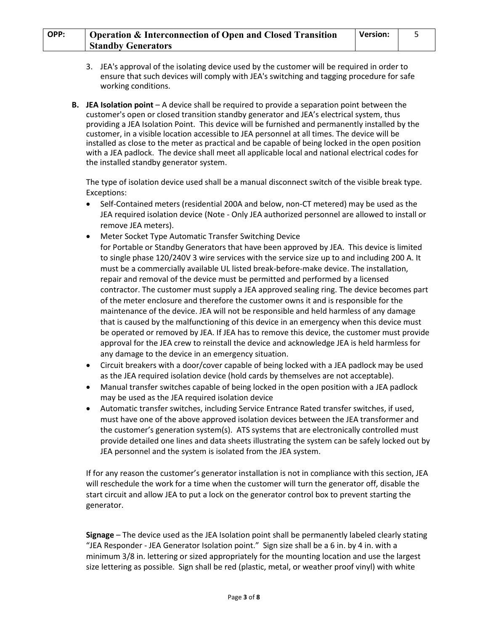| OPP: | <b>Operation &amp; Interconnection of Open and Closed Transition</b> | Version: |  |
|------|----------------------------------------------------------------------|----------|--|
|      | <b>Standby Generators</b>                                            |          |  |

- 3. JEA's approval of the isolating device used by the customer will be required in order to ensure that such devices will comply with JEA's switching and tagging procedure for safe working conditions.
- **B.** JEA Isolation point A device shall be required to provide a separation point between the customer's open or closed transition standby generator and JEA's electrical system, thus providing a JEA Isolation Point. This device will be furnished and permanently installed by the customer, in a visible location accessible to JEA personnel at all times. The device will be installed as close to the meter as practical and be capable of being locked in the open position with a JEA padlock. The device shall meet all applicable local and national electrical codes for the installed standby generator system.

The type of isolation device used shall be a manual disconnect switch of the visible break type. Exceptions:

- Self-Contained meters (residential 200A and below, non-CT metered) may be used as the JEA required isolation device (Note - Only JEA authorized personnel are allowed to install or remove JEA meters).
- Meter Socket Type Automatic Transfer Switching Device for Portable or Standby Generators that have been approved by JEA. This device is limited to single phase 120/240V 3 wire services with the service size up to and including 200 A. It must be a commercially available UL listed break-before-make device. The installation, repair and removal of the device must be permitted and performed by a licensed contractor. The customer must supply a JEA approved sealing ring. The device becomes part of the meter enclosure and therefore the customer owns it and is responsible for the maintenance of the device. JEA will not be responsible and held harmless of any damage that is caused by the malfunctioning of this device in an emergency when this device must be operated or removed by JEA. If JEA has to remove this device, the customer must provide approval for the JEA crew to reinstall the device and acknowledge JEA is held harmless for any damage to the device in an emergency situation.
- Circuit breakers with a door/cover capable of being locked with a JEA padlock may be used as the JEA required isolation device (hold cards by themselves are not acceptable).
- Manual transfer switches capable of being locked in the open position with a JEA padlock may be used as the JEA required isolation device
- Automatic transfer switches, including Service Entrance Rated transfer switches, if used, must have one of the above approved isolation devices between the JEA transformer and the customer's generation system(s). ATS systems that are electronically controlled must provide detailed one lines and data sheets illustrating the system can be safely locked out by JEA personnel and the system is isolated from the JEA system.

If for any reason the customer's generator installation is not in compliance with this section, JEA will reschedule the work for a time when the customer will turn the generator off, disable the start circuit and allow JEA to put a lock on the generator control box to prevent starting the generator.

**Signage** – The device used as the JEA Isolation point shall be permanently labeled clearly stating "JEA Responder - JEA Generator Isolation point." Sign size shall be a 6 in. by 4 in. with a minimum 3/8 in. lettering or sized appropriately for the mounting location and use the largest size lettering as possible. Sign shall be red (plastic, metal, or weather proof vinyl) with white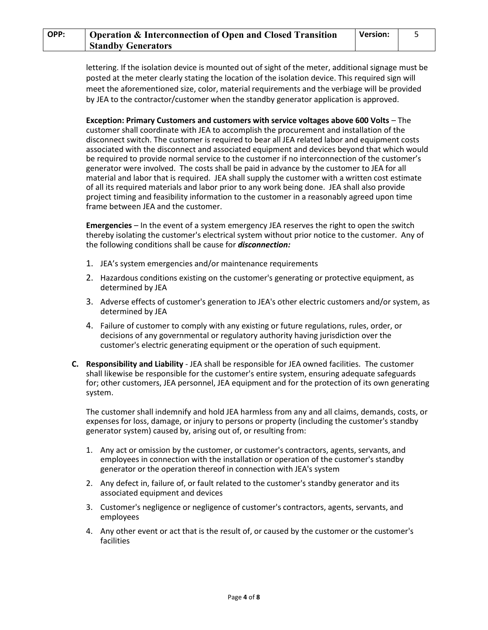lettering. If the isolation device is mounted out of sight of the meter, additional signage must be posted at the meter clearly stating the location of the isolation device. This required sign will meet the aforementioned size, color, material requirements and the verbiage will be provided by JEA to the contractor/customer when the standby generator application is approved.

**Exception: Primary Customers and customers with service voltages above 600 Volts - The** customer shall coordinate with JEA to accomplish the procurement and installation of the disconnect switch. The customer is required to bear all JEA related labor and equipment costs associated with the disconnect and associated equipment and devices beyond that which would be required to provide normal service to the customer if no interconnection of the customer's generator were involved. The costs shall be paid in advance by the customer to JEA for all material and labor that is required. JEA shall supply the customer with a written cost estimate of all its required materials and labor prior to any work being done. JEA shall also provide project timing and feasibility information to the customer in a reasonably agreed upon time frame between JEA and the customer.

**Emergencies** – In the event of a system emergency JEA reserves the right to open the switch thereby isolating the customer's electrical system without prior notice to the customer. Any of the following conditions shall be cause for *disconnection:*

- 1. JEA's system emergencies and/or maintenance requirements
- 2. Hazardous conditions existing on the customer's generating or protective equipment, as determined by JEA
- 3. Adverse effects of customer's generation to JEA's other electric customers and/or system, as determined by JEA
- 4. Failure of customer to comply with any existing or future regulations, rules, order, or decisions of any governmental or regulatory authority having jurisdiction over the customer's electric generating equipment or the operation of such equipment.
- **C. Responsibility and Liability** JEA shall be responsible for JEA owned facilities. The customer shall likewise be responsible for the customer's entire system, ensuring adequate safeguards for; other customers, JEA personnel, JEA equipment and for the protection of its own generating system.

The customer shall indemnify and hold JEA harmless from any and all claims, demands, costs, or expenses for loss, damage, or injury to persons or property (including the customer's standby generator system) caused by, arising out of, or resulting from:

- 1. Any act or omission by the customer, or customer's contractors, agents, servants, and employees in connection with the installation or operation of the customer's standby generator or the operation thereof in connection with JEA's system
- 2. Any defect in, failure of, or fault related to the customer's standby generator and its associated equipment and devices
- 3. Customer's negligence or negligence of customer's contractors, agents, servants, and employees
- 4. Any other event or act that is the result of, or caused by the customer or the customer's facilities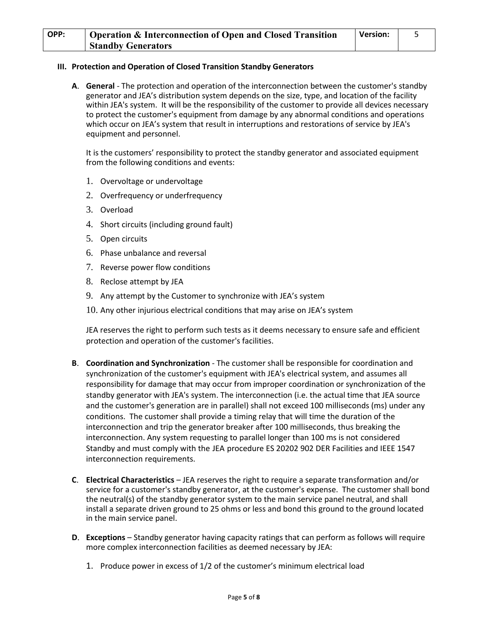| OPP: | Operation & Interconnection of Open and Closed Transition | <b>Version:</b> |  |
|------|-----------------------------------------------------------|-----------------|--|
|      | <b>Standby Generators</b>                                 |                 |  |

# **III. Protection and Operation of Closed Transition Standby Generators**

**A**. **General** - The protection and operation of the interconnection between the customer's standby generator and JEA's distribution system depends on the size, type, and location of the facility within JEA's system. It will be the responsibility of the customer to provide all devices necessary to protect the customer's equipment from damage by any abnormal conditions and operations which occur on JEA's system that result in interruptions and restorations of service by JEA's equipment and personnel.

It is the customers' responsibility to protect the standby generator and associated equipment from the following conditions and events:

- 1. Overvoltage or undervoltage
- 2. Overfrequency or underfrequency
- 3. Overload
- 4. Short circuits (including ground fault)
- 5. Open circuits
- 6. Phase unbalance and reversal
- 7. Reverse power flow conditions
- 8. Reclose attempt by JEA
- 9. Any attempt by the Customer to synchronize with JEA's system
- 10. Any other injurious electrical conditions that may arise on JEA's system

JEA reserves the right to perform such tests as it deems necessary to ensure safe and efficient protection and operation of the customer's facilities.

- **B**. **Coordination and Synchronization** The customer shall be responsible for coordination and synchronization of the customer's equipment with JEA's electrical system, and assumes all responsibility for damage that may occur from improper coordination or synchronization of the standby generator with JEA's system. The interconnection (i.e. the actual time that JEA source and the customer's generation are in parallel) shall not exceed 100 milliseconds (ms) under any conditions. The customer shall provide a timing relay that will time the duration of the interconnection and trip the generator breaker after 100 milliseconds, thus breaking the interconnection. Any system requesting to parallel longer than 100 ms is not considered Standby and must comply with the JEA procedure ES 20202 902 DER Facilities and IEEE 1547 interconnection requirements.
- **C**. **Electrical Characteristics** JEA reserves the right to require a separate transformation and/or service for a customer's standby generator, at the customer's expense. The customer shall bond the neutral(s) of the standby generator system to the main service panel neutral, and shall install a separate driven ground to 25 ohms or less and bond this ground to the ground located in the main service panel.
- **D**. **Exceptions** Standby generator having capacity ratings that can perform as follows will require more complex interconnection facilities as deemed necessary by JEA:
	- 1. Produce power in excess of 1/2 of the customer's minimum electrical load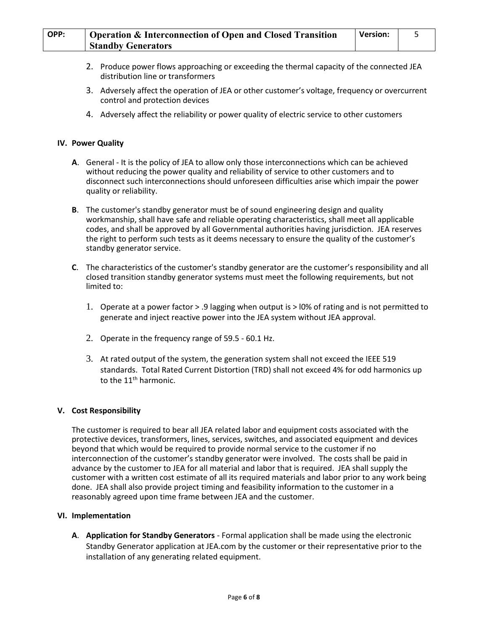- 2. Produce power flows approaching or exceeding the thermal capacity of the connected JEA distribution line or transformers
- 3. Adversely affect the operation of JEA or other customer's voltage, frequency or overcurrent control and protection devices
- 4. Adversely affect the reliability or power quality of electric service to other customers

# **IV. Power Quality**

- **A**. General It is the policy of JEA to allow only those interconnections which can be achieved without reducing the power quality and reliability of service to other customers and to disconnect such interconnections should unforeseen difficulties arise which impair the power quality or reliability.
- **B**. The customer's standby generator must be of sound engineering design and quality workmanship, shall have safe and reliable operating characteristics, shall meet all applicable codes, and shall be approved by all Governmental authorities having jurisdiction. JEA reserves the right to perform such tests as it deems necessary to ensure the quality of the customer's standby generator service.
- **C**. The characteristics of the customer's standby generator are the customer's responsibility and all closed transition standby generator systems must meet the following requirements, but not limited to:
	- 1. Operate at a power factor > .9 lagging when output is > l0% of rating and is not permitted to generate and inject reactive power into the JEA system without JEA approval.
	- 2. Operate in the frequency range of 59.5 60.1 Hz.
	- 3. At rated output of the system, the generation system shall not exceed the IEEE 519 standards. Total Rated Current Distortion (TRD) shall not exceed 4% for odd harmonics up to the  $11<sup>th</sup>$  harmonic.

### **V. Cost Responsibility**

The customer is required to bear all JEA related labor and equipment costs associated with the protective devices, transformers, lines, services, switches, and associated equipment and devices beyond that which would be required to provide normal service to the customer if no interconnection of the customer's standby generator were involved. The costs shall be paid in advance by the customer to JEA for all material and labor that is required. JEA shall supply the customer with a written cost estimate of all its required materials and labor prior to any work being done. JEA shall also provide project timing and feasibility information to the customer in a reasonably agreed upon time frame between JEA and the customer.

### **VI. Implementation**

**A**. **Application for Standby Generators** - Formal application shall be made using the electronic Standby Generator application at JEA.com by the customer or their representative prior to the installation of any generating related equipment.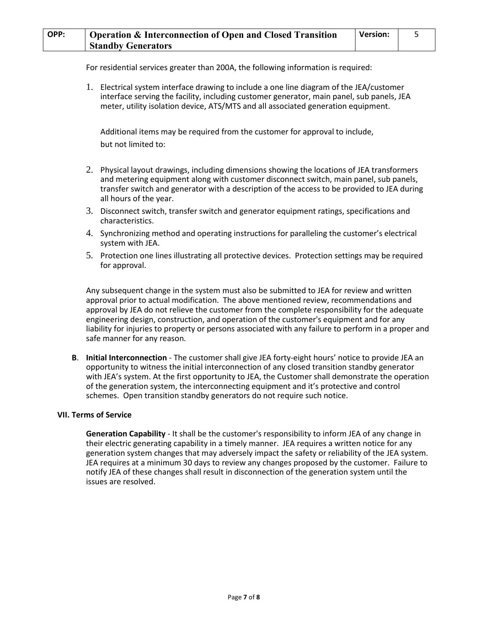For residential services greater than 200A, the following information is required:

1. Electrical system interface drawing to include a one line diagram of the JEA/customer interface serving the facility, including customer generator, main panel, sub panels, JEA meter, utility isolation device, ATS/MTS and all associated generation equipment.

Additional items may be required from the customer for approval to include, but not limited to:

- 2. Physical layout drawings, including dimensions showing the locations of JEA transformers and metering equipment along with customer disconnect switch, main panel, sub panels, transfer switch and generator with a description of the access to be provided to JEA during all hours of the year.
- 3. Disconnect switch, transfer switch and generator equipment ratings, specifications and characteristics.
- 4. Synchronizing method and operating instructions for paralleling the customer's electrical system with JEA.
- 5. Protection one lines illustrating all protective devices. Protection settings may be required for approval.

Any subsequent change in the system must also be submitted to JEA for review and written approval prior to actual modification. The above mentioned review, recommendations and approval by JEA do not relieve the customer from the complete responsibility for the adequate engineering design, construction, and operation of the customer's equipment and for any liability for injuries to property or persons associated with any failure to perform in a proper and safe manner for any reason.

**B**. **Initial Interconnection** - The customer shall give JEA forty-eight hours' notice to provide JEA an opportunity to witness the initial interconnection of any closed transition standby generator with JEA's system. At the first opportunity to JEA, the Customer shall demonstrate the operation of the generation system, the interconnecting equipment and it's protective and control schemes. Open transition standby generators do not require such notice.

### **VII. Terms of Service**

**Generation Capability** - It shall be the customer's responsibility to inform JEA of any change in their electric generating capability in a timely manner. JEA requires a written notice for any generation system changes that may adversely impact the safety or reliability of the JEA system. JEA requires at a minimum 30 days to review any changes proposed by the customer. Failure to notify JEA of these changes shall result in disconnection of the generation system until the issues are resolved.